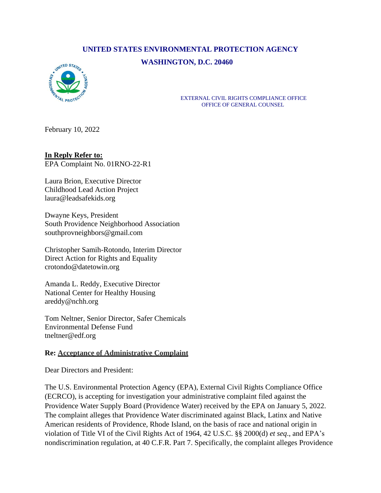## **UNITED STATES ENVIRONMENTAL PROTECTION AGENCY WASHINGTON, D.C. 20460**



EXTERNAL CIVIL RIGHTS COMPLIANCE OFFICE OFFICE OF GENERAL COUNSEL

February 10, 2022

## **In Reply Refer to:**

EPA Complaint No. 01RNO-22-R1

Laura Brion, Executive Director Childhood Lead Action Project laura@leadsafekids.org

Dwayne Keys, President South Providence Neighborhood Association southprovneighbors@gmail.com

Christopher Samih-Rotondo, Interim Director Direct Action for Rights and Equality crotondo@datetowin.org

Amanda L. Reddy, Executive Director National Center for Healthy Housing areddy@nchh.org

Tom Neltner, Senior Director, Safer Chemicals Environmental Defense Fund [tneltner@edf.org](mailto:tneltner@edf.org)

## **Re: Acceptance of Administrative Complaint**

Dear Directors and President:

The U.S. Environmental Protection Agency (EPA), External Civil Rights Compliance Office (ECRCO), is accepting for investigation your administrative complaint filed against the Providence Water Supply Board (Providence Water) received by the EPA on January 5, 2022. The complaint alleges that Providence Water discriminated against Black, Latinx and Native American residents of Providence, Rhode Island, on the basis of race and national origin in violation of Title VI of the Civil Rights Act of 1964, 42 U.S.C. §§ 2000(d) *et seq*., and EPA's nondiscrimination regulation, at 40 C.F.R. Part 7. Specifically, the complaint alleges Providence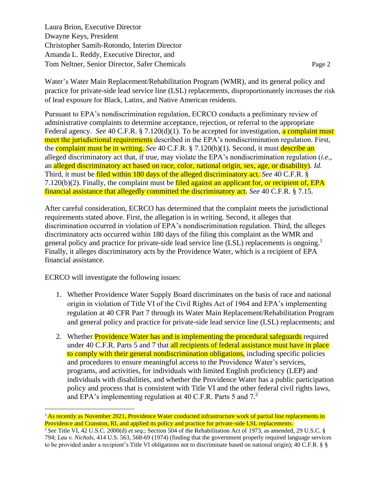Laura Brion, Executive Director Dwayne Keys, President Christopher Samih-Rotondo, Interim Director Amanda L. Reddy, Executive Director, and Tom Neltner, Senior Director, Safer Chemicals Page 2

Water's Water Main Replacement/Rehabilitation Program (WMR), and its general policy and practice for private-side lead service line (LSL) replacements, disproportionately increases the risk of lead exposure for Black, Latinx, and Native American residents.

Pursuant to EPA's nondiscrimination regulation, ECRCO conducts a preliminary review of administrative complaints to determine acceptance, rejection, or referral to the appropriate Federal agency. *See* 40 C.F.R. § 7.120(d)(1). To be accepted for investigation, a complaint must meet the jurisdictional requirements described in the EPA's nondiscrimination regulation. First, the complaint must be in writing. *See* 40 C.F.R. § 7.120(b)(1). Second, it must describe an alleged discriminatory act that, if true, may violate the EPA's nondiscrimination regulation (*i.e.,* an alleged discriminatory act based on race, color, national origin, sex, age, or disability). *Id.*  Third, it must be filed within 180 days of the alleged discriminatory act. *See* 40 C.F.R. §  $7.120(b)(2)$ . Finally, the complaint must be filed against an applicant for, or recipient of, EPA financial assistance that allegedly committed the discriminatory act. *See* 40 C.F.R. § 7.15.

After careful consideration, ECRCO has determined that the complaint meets the jurisdictional requirements stated above. First, the allegation is in writing. Second, it alleges that discrimination occurred in violation of EPA's nondiscrimination regulation. Third, the alleges discriminatory acts occurred within 180 days of the filing this complaint as the WMR and general policy and practice for private-side lead service line (LSL) replacements is ongoing.<sup>1</sup> Finally, it alleges discriminatory acts by the Providence Water, which is a recipient of EPA financial assistance.

ECRCO will investigate the following issues:

- 1. Whether Providence Water Supply Board discriminates on the basis of race and national origin in violation of Title VI of the Civil Rights Act of 1964 and EPA's implementing regulation at 40 CFR Part 7 through its Water Main Replacement/Rehabilitation Program and general policy and practice for private-side lead service line (LSL) replacements; and
- 2. Whether **Providence Water has and is implementing the procedural safeguards** required under 40 C.F.R. Parts 5 and 7 that all recipients of federal assistance must have in place to comply with their general nondiscrimination obligations, including specific policies and procedures to ensure meaningful access to the Providence Water's services, programs, and activities, for individuals with limited English proficiency (LEP) and individuals with disabilities, and whether the Providence Water has a public participation policy and process that is consistent with Title VI and the other federal civil rights laws, and EPA's implementing regulation at 40 C.F.R. Parts 5 and  $7<sup>2</sup>$

<sup>&</sup>lt;sup>1</sup> As recently as November 2021, Providence Water conducted infrastructure work of partial line replacements in Providence and Cranston, RI, and applied its policy and practice for private-side LSL replacements.

<sup>2</sup> *See* Title VI, 42 U.S.C. 2000(d) *et seq*.; Section 504 of the Rehabilitation Act of 1973, as amended, 29 U.S.C. § 794; *Lau v. Nichols*, 414 U.S. 563, 568-69 (1974) (finding that the government properly required language services to be provided under a recipient's Title VI obligations not to discriminate based on national origin); 40 C.F.R. § §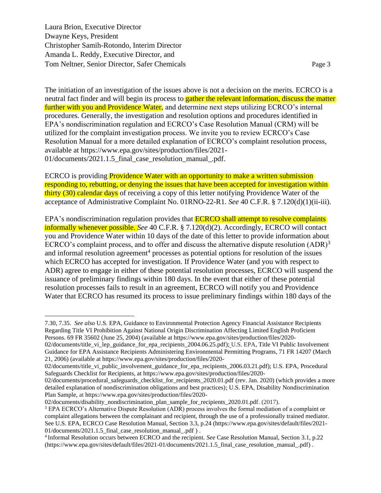Laura Brion, Executive Director Dwayne Keys, President Christopher Samih-Rotondo, Interim Director Amanda L. Reddy, Executive Director, and Tom Neltner, Senior Director, Safer Chemicals Page 3

The initiation of an investigation of the issues above is not a decision on the merits. ECRCO is a neutral fact finder and will begin its process to **gather the relevant information, discuss the matter** further with you and Providence Water, and determine next steps utilizing ECRCO's internal procedures. Generally, the investigation and resolution options and procedures identified in EPA's nondiscrimination regulation and ECRCO's Case Resolution Manual (CRM) will be utilized for the complaint investigation process. We invite you to review ECRCO's Case Resolution Manual for a more detailed explanation of ECRCO's complaint resolution process, available at [https://www.epa.gov/sites/production/files/2021-](https://www.epa.gov/sites/production/files/2021-01/documents/2021.1.5_final_case_resolution_manual_.pdf) 01/documents/2021.1.5 final case resolution manual .pdf.

ECRCO is providing Providence Water with an opportunity to make a written submission responding to, rebutting, or denying the issues that have been accepted for investigation within thirty (30) calendar days of receiving a copy of this letter notifying Providence Water of the acceptance of Administrative Complaint No. 01RNO-22-R1. *See* 40 C.F.R. § 7.120(d)(1)(ii-iii).

EPA's nondiscrimination regulation provides that **ECRCO** shall attempt to resolve complaints informally whenever possible. *See* 40 C.F.R. § 7.120(d)(2). Accordingly, ECRCO will contact you and Providence Water within 10 days of the date of this letter to provide information about ECRCO's complaint process, and to offer and discuss the alternative dispute resolution  $(ADR)^3$ and informal resolution agreement<sup>4</sup> processes as potential options for resolution of the issues which ECRCO has accepted for investigation. If Providence Water (and you with respect to ADR) agree to engage in either of these potential resolution processes, ECRCO will suspend the issuance of preliminary findings within 180 days. In the event that either of these potential resolution processes fails to result in an agreement, ECRCO will notify you and Providence Water that ECRCO has resumed its process to issue preliminary findings within 180 days of the

[02/documents/disability\\_nondiscrimination\\_plan\\_sample\\_for\\_recipients\\_2020.01.pdf.](https://www.epa.gov/sites/production/files/2020-02/documents/disability_nondiscrimination_plan_sample_for_recipients_2020.01.pdf) (2017).

<sup>7.30, 7.35.</sup> *See also* U.S. EPA, Guidance to Environmental Protection Agency Financial Assistance Recipients Regarding Title VI Prohibition Against National Origin Discrimination Affecting Limited English Proficient Persons. 69 FR 35602 (June 25, 2004) (available at https://www.epa.gov/sites/production/files/2020-

<sup>02/</sup>documents/title\_vi\_lep\_guidance\_for\_epa\_recipients\_2004.06.25.pdf); U.S. EPA, Title VI Public Involvement Guidance for EPA Assistance Recipients Administering Environmental Permitting Programs, 71 FR 14207 (March 21, 2006) (available at https://www.epa.gov/sites/production/files/2020-

<sup>02/</sup>documents/title\_vi\_public\_involvement\_guidance\_for\_epa\_recipients\_2006.03.21.pdf); U.S. EPA, Procedural Safeguards Checklist for Recipients, at [https://www.epa.gov/sites/production/files/2020-](https://www.epa.gov/sites/production/files/2020-02/documents/procedural_safeguards_checklist_for_recipients_2020.01.pdf)

[<sup>02/</sup>documents/procedural\\_safeguards\\_checklist\\_for\\_recipients\\_2020.01.pdf](https://www.epa.gov/sites/production/files/2020-02/documents/procedural_safeguards_checklist_for_recipients_2020.01.pdf) (rev. Jan. 2020) (which provides a more detailed explanation of nondiscrimination obligations and best practices); U.S. EPA, [Disability Nondiscrimination](file:///C:/Users/ktemple/AppData/Local/Microsoft/Windows/INetCache/Content.Outlook/82OKU1TN/Disability%20Nondiscrimination%20Plan%20Sample,)  [Plan Sample, a](file:///C:/Users/ktemple/AppData/Local/Microsoft/Windows/INetCache/Content.Outlook/82OKU1TN/Disability%20Nondiscrimination%20Plan%20Sample,)t [https://www.epa.gov/sites/production/files/2020-](https://www.epa.gov/sites/production/files/2020-02/documents/disability_nondiscrimination_plan_sample_for_recipients_2020.01.pdf)

<sup>3</sup> EPA ECRCO's Alternative Dispute Resolution (ADR) process involves the formal mediation of a complaint or complaint allegations between the complainant and recipient, through the use of a professionally trained mediator. See U.S. EPA, ECRCO Case Resolution Manual, Section 3.3, p.24 (https://www.epa.gov/sites/default/files/2021- 01/documents/2021.1.5\_final\_case\_resolution\_manual\_.pdf ) .

<sup>4</sup> Informal Resolution occurs between ECRCO and the recipient. *See* Case Resolution Manual, Section 3.1, p.22 [\(https://www.epa.gov/sites/default/files/2021-01/documents/2021.1.5\\_final\\_case\\_resolution\\_manual\\_.pdf\)](https://www.epa.gov/sites/default/files/2021-01/documents/2021.1.5_final_case_resolution_manual_.pdf) .